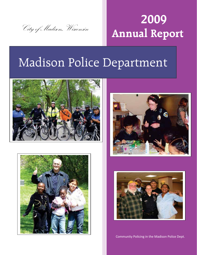

# **2009 Annual Report**

# Madison Police Department









Community Policing in the Madison Police Dept.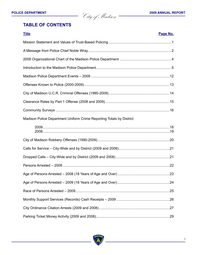**POLICE DEPARTMENT** 2009 ANNUAL REPORT

# **TABLE OF CONTENTS**

| <b>Title</b>                                                         | Page No. |
|----------------------------------------------------------------------|----------|
|                                                                      |          |
|                                                                      |          |
|                                                                      |          |
|                                                                      |          |
|                                                                      |          |
|                                                                      |          |
|                                                                      |          |
|                                                                      |          |
|                                                                      |          |
| Madison Police Department Uniform Crime Reporting Totals by District |          |
|                                                                      |          |
|                                                                      |          |
|                                                                      |          |
|                                                                      |          |
|                                                                      |          |
|                                                                      |          |
|                                                                      |          |
|                                                                      |          |
|                                                                      |          |
|                                                                      |          |
|                                                                      |          |

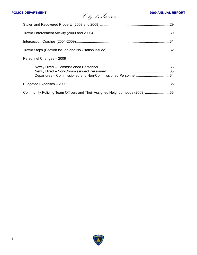| Personnel Changes - 2009                                                   |  |
|----------------------------------------------------------------------------|--|
| Departures - Commissioned and Non-Commissioned Personnel 34                |  |
|                                                                            |  |
| Community Policing Team Officers and Their Assigned Neighborhoods (2009)36 |  |

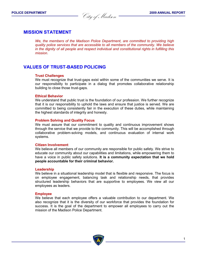**POLICE DEPARTMENT 2009 ANNUAL REPORT** City of Madison **POLICE DEPARTMENT <sup>2009</sup> ANNUAL REPORT** City of Madison

# **MISSION STATEMENT**

*We, the members of the Madison Police Department, are committed to providing high quality police services that are accessible to all members of the community. We believe in the dignity of all people and respect individual and constitutional rights in fulfilling this mission.*

# **VALUES OF TRUST-BASED POLICING**

#### **Trust Challenges**

We must recognize that trust-gaps exist within some of the communities we serve. It is our responsibility to participate in a dialog that promotes collaborative relationship building to close those trust-gaps.

#### **Ethical Behavior**

We understand that public trust is the foundation of our profession. We further recognize that it is our responsibility to uphold the laws and ensure that justice is served. We are committed to being consistently fair in the execution of these duties, while maintaining the highest standards of integrity and honesty.

#### **Problem Solving and Quality Focus**

We must assure that our commitment to quality and continuous improvement shows through the service that we provide to the community. This will be accomplished through collaborative problem-solving models, and continuous evaluation of internal work systems.

#### **Citizen Involvement**

We believe all members of our community are responsible for public safety. We strive to educate our community about our capabilities and limitations, while empowering them to have a voice in public safety solutions. **It is a community expectation that we hold people accountable for their criminal behavior.**

#### **Leadership**

We believe in a situational leadership model that is flexible and responsive. The focus is on employee engagement, balancing task and relationship needs, that provides structured leadership behaviors that are supportive to employees. We view all our employees as leaders.

#### **Employee**

We believe that each employee offers a valuable contribution to our department. We also recognize that it is the diversity of our workforce that provides the foundation for success. It is the goal of the department to empower all employees to carry out the mission of the Madison Police Department.

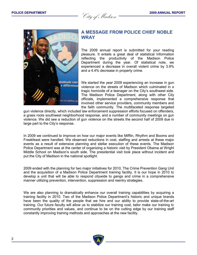**POLICE DEPARTMENT 2009 ANNUAL REPORT** City of Madison **POLICE DEPARTMENT <sup>2009</sup> ANNUAL REPORT** City of Madison



# **A MESSAGE FROM POLICE CHIEF NOBLE WRAY**

The 2009 annual report is submitted for your reading pleasure. It entails a great deal of statistical Information reflecting the productivity of the Madison Police Department during the year. Of statistical note, we experienced a decrease in overall violent crime by 3.9% and a 4.4% decrease in property crime.

We started the year 2009 experiencing an increase in gun violence on the streets of Madison which culminated in a tragic homicide of a teenager on the City's southwest side. The Madison Police Department, along with other City officials, implemented a comprehensive response that involved other service providers, community members and the faith community. The multifaceted response targeted

gun violence directly, which included law enforcement suppression efforts focused on offenders, a grass roots southwest neighborhood response, and a number of community meetings on gun violence. We did see a reduction of gun violence on the streets the second half of 2009 due in large part to the City's response.

In 2009 we continued to improve on how our major events like Mifflin, Rhythm and Booms and Freakfeast were handled. We observed reductions in cost, staffing and arrests at these major events as a result of extensive planning and stellar execution of these events. The Madison Police Department was at the center of organizing a historic visit by President Obama at Wright Middle School on Madison's south side. The presidential visit took place without incident and put the City of Madison in the national spotlight.

2009 ended with the planning for two major initiatives for 2010, The Crime Prevention Gang Unit and the acquisition of a Madison Police Department training facility. It is our hope in 2010 to develop a unit that will be able to respond citywide to gangs and crime in a comprehensive manner utilizing prevention, intervention, suppression and reentry strategies.

We are also planning to dramatically enhance our overall training capabilities by acquiring a training facility in 2010. Two of the Madison Police Department's historic and unique brands have been the quality of the people that we hire and our ability to provide state-of-the-art training. Our future faculty will allow us to stabilize our training cost, tailor make our training to community priorities and values, and continue to be on the cutting edge by our training staff constantly improving training methods and approaches at the new facility.

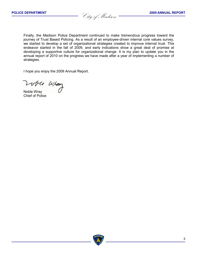**POLICE DEPARTMENT 2009 ANNUAL REPORT** City of Madison **POLICE DEPARTMENT <sup>2009</sup> ANNUAL REPORT** City of Madison

Finally, the Madison Police Department continued to make tremendous progress toward the journey of Trust Based Policing. As a result of an employee-driven internal core values survey, we started to develop a set of organizational strategies created to improve internal trust. This endeavor started in the fall of 2009, and early indications show a great deal of promise at developing a supportive culture for organizational change. It is my plan to update you in the annual report of 2010 on the progress we have made after a year of implementing a number of strategies.

I hope you enjoy the 2009 Annual Report.

Volte Whay

Chief of Police

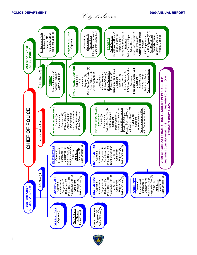| ASSISTANT CHIEF<br>OF SUPPORT (1)    | Professional Std<br>Lieutenant (1) | Information Sys Coor (1)<br>Police Records Super (1)<br>Court Services Super (1)<br>Mgmt Info Specs (2.5)<br>Police Rpt Typists (20.5)<br>Police Rec Svc Clks (4)<br><b>Support Exec. Capt.</b><br>Police Rec Svc Clks (2)<br>Property Room Sup (1)<br><b>Automated Reporting</b><br>Public Info Spec (1)<br><b>Public Info Office</b><br>PRT Supervisor (1)<br>Property Clerks (5)<br>Management &<br>Police Officers (6)<br>Clerk Typists (11)<br>Self-Report Unit<br><b>Property Room</b><br>Admin Clerk (1)<br><b>Court Services</b><br>Admin Clerk (1)<br><u>Technology</u><br>Sergeant (1)<br>Information<br>Captain (1)<br><b>RECORDS</b><br><b>Records</b><br><b>System</b>                                                          |
|--------------------------------------|------------------------------------|----------------------------------------------------------------------------------------------------------------------------------------------------------------------------------------------------------------------------------------------------------------------------------------------------------------------------------------------------------------------------------------------------------------------------------------------------------------------------------------------------------------------------------------------------------------------------------------------------------------------------------------------------------------------------------------------------------------------------------------------|
|                                      | Info Clerk (.5)                    | <b>INVESTIGATIVE SUPPORT</b><br>Det. - Gang Specialist (1)<br>(+7 Officers from Outside<br>Forensic Services Unit<br>Emerg. Preparedness<br>Dane Co. Task Force<br>Finance Manager (1)<br>Police Lab Tech (1)<br>Account Tech II (1)<br>Crime Analysts (2)<br>Crime Prevention<br>Police Officers (5)<br>Police Officers (4)<br>Police Officer (1)<br>Investigators (12)<br>Admin Clerks (4)<br><b>Crime Stoppers</b><br>Police Officer (1)<br>Detectives (4)<br>Lieutenant (1)<br>Detectives (4)<br>Lieutenant (1)<br>Lieutenant (1)<br>Detective (1)<br>Sergeant (1)<br>Sergeant (1)<br>Captain (1)<br><b>FINANCE</b><br>Agencies)<br>Authorized Civilian: 104.6<br>ຣ                                                                      |
| <b>OF POLICE</b>                     | Administrative Asst (1)            | 2009 ORGANIZATIONAL CHART - MADISON POLICE DEPT<br>Effective February 8, 2009<br>Parking Enf Lead Wkr (1)<br><b>PERSONNEL/TRAINING</b><br><b>TRAFFIC/SPECIALIZED</b><br>Auto Services Worker (1)<br>Parking Enf Officers (24)<br>Crossing Grd Supr (1.6)<br>Vehicle Impound Fac.<br><b>Parking Enforcement</b><br>Police Rec Svc Clk (1)<br>Parking Enf Super (1)<br>Civilian Vacancies<br><b>Safety Education</b><br>Police Officers (3)<br>Police Officers (4)<br>Police Officers (8)<br>Police Officers (5)<br>Admin Clerk (1)<br><b>Traffic Section</b><br>PO Vacancies<br>Lieutenant (1)<br>Lieutenant (1)<br>Sergeant (1)<br>Sergeants (2)<br>Sergeant (1)<br>Captain (1)<br><b>SERVICES</b><br>Captain (1)<br><b>TEST Unit</b><br>438 |
| <b>UHIEF</b>                         |                                    | Authorized Commissioned:<br>Patrol Officers (36)<br>Patrol Officers (31)<br>Neighborhd Off (1)<br>Neighborhd Off (1)<br>Police Officers (5)<br>Police Officers (5)<br><b>NORTH DISTRICT</b><br>EAST DISTRICT<br>Lieutenants (2)<br>Lieutenants (2)<br>Detectives (9)<br>Detectives (9)<br>Sergeants (4)<br>Sergeants (5)<br>Sergeant (1)<br>Sergeant (1)<br>Captain (1)<br>CPT Team<br>Captain (1)<br><b>CPT Team</b><br>ERO(1)<br>ERO(1)                                                                                                                                                                                                                                                                                                    |
| OF OPERATIONS (1)<br>ASSISTANT CHIEI | Info Clerk (.5)                    | Neighborhd Offs (2)<br>Neighborhd Offs (4)<br>Neighborhd Offs (3)<br>Patrol Officers (33)<br>Patrol Officers (45)<br>Patrol Officers (45)<br>Police Officers (5)<br>Police Officers (7)<br>Police Officers (6)<br><b>WEST DISTRIC</b><br>Lieutenants (3)<br>Detectives (13)<br>Lieutenants (3)<br>Detectives (14)<br>ieutenants (2)<br><b>CENTRAL DIS'</b><br>Detectives (9)<br>Sergeants (6)<br>Sergeants (4)<br>Sergeants (7)<br>Sergeant (1)<br>Sergeant (1)<br>SOUTH DIST<br>Sergeant (1)<br>Captain (1)<br>Captain (1)<br>CPT Team<br><b>CPT Team</b><br>CPT Team<br>Captain (1)<br>ERO(1)<br>ERO (1)                                                                                                                                   |
|                                      |                                    | Canine / Mounted<br>Police Officers (6)<br>OPS Exec. Capt<br>Lieutenants (3)<br><b>Shift Officers</b><br>Sergeant (1)<br>Captain (1)<br>in Charge                                                                                                                                                                                                                                                                                                                                                                                                                                                                                                                                                                                            |
|                                      |                                    |                                                                                                                                                                                                                                                                                                                                                                                                                                                                                                                                                                                                                                                                                                                                              |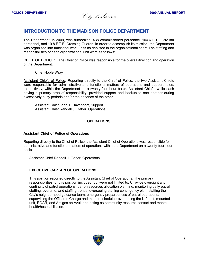**POLICE DEPARTMENT 2009 ANNUAL REPORT** City of Madison **POLICE DEPARTMENT 2009 ANNUAL REPORT** City of Madison

# **INTRODUCTION TO THE MADISON POLICE DEPARTMENT**

The Department, in 2009, was authorized: 438 commissioned personnel, 104.6 F.T.E. civilian personnel, and 19.8 F.T.E. Crossing Guards. In order to accomplish its mission, the Department was organized into functional work units as depicted in the organizational chart. The staffing and responsibilities of each organizational unit were as follows:

CHIEF OF POLICE: The Chief of Police was responsible for the overall direction and operation of the Department.

Chief Noble Wray

Assistant Chiefs of Police: Reporting directly to the Chief of Police, the two Assistant Chiefs were responsible for administrative and functional matters of operations and support roles, respectively, within the Department on a twenty-four hour basis. Assistant Chiefs, while each having a primary area of responsibility, provided support and backup to one another during excessively busy periods and/or the absence of the other.

Assistant Chief John T. Davenport, Support Assistant Chief Randall J. Gaber, Operations

#### **OPERATIONS**

#### **Assistant Chief of Police of Operations**

Reporting directly to the Chief of Police, the Assistant Chief of Operations was responsible for administrative and functional matters of operations within the Department on a twenty-four hour basis.

Assistant Chief Randall J. Gaber, Operations

#### **EXECUTIVE CAPTAIN OF OPERATIONS**

This position reported directly to the Assistant Chief of Operations. The primary responsibilities for this position included, but were not limited to: Citywide oversight and continuity of patrol operations; patrol resources allocation planning; monitoring daily patrol staffing, overtime, and staffing trends; overseeing staffing contingency plan; staffing the City's neighborhood guidance team; emergency preparedness of patrol operations; supervising the Officer in Charge and master scheduler; overseeing the K-9 unit, mounted unit, ROAR, and Amigos en Azul; and acting as community resource contact and mental health/hospital liaison.

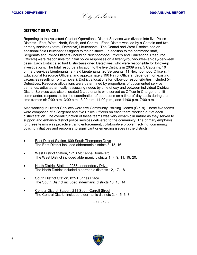**POLICE DEPARTMENT 2009 ANNUAL REPORT** City of Madison **POLICE DEPARTMENT 2009 ANNUAL REPORT** City of Madison

#### **DISTRICT SERVICES**

Reporting to the Assistant Chief of Operations, District Services was divided into five Police Districts - East, West, North, South, and Central. Each District was led by a Captain and two primary services (patrol, Detective) Lieutenants. The Central and West Districts had an additional field Lieutenant assigned to their districts. In addition to the command staff, Sergeants and Police Officers (including Neighborhood Officers and Educational Resource Officers) were responsible for initial police responses on a twenty-four-hour/seven-day-per-week basis. Each District also had District-assigned Detectives, who were responsible for follow-up investigations. The total resource allocation to the five Districts in 2009 was: 5 Captains, 10 primary services Lieutenants, 2 Field Lieutenants, 26 Sergeants, 11 Neighborhood Officers, 4 Educational Resource Officers, and approximately 190 Patrol Officers (dependent on existing vacancies resulting from turnover). District allocations for follow-up responsibilities included 54 Detectives. Resource allocations were determined by proportions of documented service demands, adjusted annually, assessing needs by time of day and between individual Districts. District Services was also allocated 3 Lieutenants who served as Officer in Charge, or shift commander, responsible for the coordination of operations on a time-of-day basis during the time frames of: 7:00 a.m.-3:00 p.m., 3:00 p.m.-11:00 p.m., and 11:00 p.m.-7:00 a.m.

Also working in District Services were five Community Policing Teams (CPTs). These five teams were composed of a Sergeant and five Police Officers on each team, working out of each district station. The overall function of these teams was very dynamic in nature as they served to support and enhance district police services delivered to the community. The primary emphasis for these teams was proactive traffic enforcement, collaborative problem solving, community policing initiatives and response to significant or emerging issues in the districts.

- The East District included aldermanic districts 3, 15, 16. East District Station, 809 South Thompson Drive
- The West District included aldermanic districts 1, 7, 9, 11, 19, 20. West District Station, 1710 McKenna Boulevard
- The North District included aldermanic districts 12, 17, 18. North District Station, 2033 Londonderry Drive
- The South District included aldermanic districts 10, 13, 14. South District Station, 825 Hughes Place
- The Central District included aldermanic districts 2, 4, 5, 6, 8. Central District Station, 211 South Carroll Street

\* \* \* \* \* \* \*

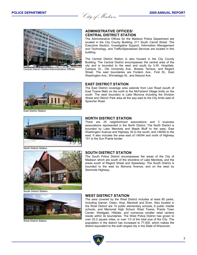**POLICE DEPARTMENT 2009 ANNUAL REPORT** City of Madison **POLICE DEPARTMENT 2009 ANNUAL REPORT** City of Madison



Central District Station/Administrative Offices

#### **ADMINISTRATIVE OFFICES/ CENTRAL DISTRICT STATION**

The Administrative Offices for the Madison Police Department are located in the City County Building, 211 South Carroll Street. The Executive Section, Investigative Support, Information Management and Technology, and Traffic/Specialized Services are located in this building.

The Central District Station is also housed in the City County Building. The Central District encompasses the central area of the city and is bounded to the west and south by U.W. Hospitals, Campus Dr., Old University Ave., Breese Terrace, and Regent Street. The east boundaries are Fordem Ave., First St., East Washington Ave., Winnebago St., and Atwood Ave.



East District Station

#### **EAST DISTRICT STATION**

The East District coverage area extends from Lien Road (south of East Towne Mall) on the north to the McFarland Village limits on the south. The west boundary is Lake Monona including the Division Street and Olbrich Park area all the way east to the City limits east of Sprecher Road.



North District Station



#### **NORTH DISTRICT STATION**

There are 25 neighborhood associations and 3 business associations represented in the North District. The North District is bounded by Lake Mendota and Maple Bluff to the west, East Washington Avenue and Highway 30 to the south, and I-90/94 to the east. It also includes the area east of I-90/94 and north of Highway 151 to the Sun Prairie border.

#### **SOUTH DISTRICT STATION**

The South Police District encompasses the areas of the City of Madison which are south of the shoreline of Lake Mendota, and the areas south of Regent Street and Speedway. The South District is bounded to the east by Monona Avenue, and on the west by Seminole Highway.



South District Station



West District Station

#### **WEST DISTRICT STATION**

The area covered by the West District includes at least 60 parks, including Garner, Owen, Hoyt, Marshall and Elver. Also located in the West District are 10 public elementary schools, 6 public middle schools, and Memorial High School. West Towne, Prairie Town Center, Westgate, Hilldale, and numerous smaller retail centers reside within its boundaries. The West Police District has grown to over 25.2 square miles, or over 1/3 of the total size of the City. The population in the district has increased to 77,000, which makes the district equivalent to the sixth largest city in the State of Wisconsin.

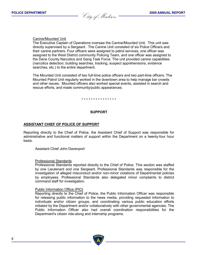**POLICE DEPARTMENT 2009 ANNUAL REPORT** City of Madison **POLICE DEPARTMENT 2009 ANNUAL REPORT** City of Madison

#### Canine/Mounted Unit

The Executive Captain of Operations oversaw the Canine/Mounted Unit. This unit was directly supervised by a Sergeant. The Canine Unit consisted of six Police Officers and their canine partners. Four officers were assigned to patrol services, one officer was assigned to the West District community Policing Team, and one officer was assigned to the Dane County Narcotics and Gang Task Force. The unit provided canine capabilities (narcotics detection, building searches, tracking, suspect apprehensions, evidence searches, etc.) to the entire department.

The Mounted Unit consisted of two full-time police officers and two part-time officers. The Mounted Patrol Unit regularly worked in the downtown area to help manage bar crowds and other issues. Mounted officers also worked special events, assisted in search and rescue efforts, and made community/public appearances.

#### \* \* \* \* \* \* \* \* \* \* \* \* \* \* \*

#### **SUPPORT**

#### **ASSISTANT CHIEF OF POLICE OF SUPPORT**

Reporting directly to the Chief of Police, the Assistant Chief of Support was responsible for administrative and functional matters of support within the Department on a twenty-four hour basis.

Assistant Chief John Davenport

#### Professional Standards

Professional Standards reported directly to the Chief of Police. This section was staffed by one Lieutenant and one Sergeant. Professional Standards was responsible for the investigation of alleged misconduct and/or non-minor violations of Departmental policies by employees. Professional Standards also delegated minor complaints to district command staff for investigation.

#### Public Information Office (PIO)

Reporting directly to the Chief of Police, the Public Information Officer was responsible for releasing public information to the news media, providing requested information to individuals and/or citizen groups, and coordinating various public education efforts initiated by the Department and/or collaboratively with other governmental agencies. The Public Information Officer also had overall coordination responsibilities for the Department's citizen ride-along and internship programs.

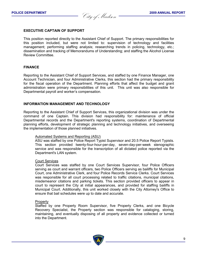**POLICE DEPARTMENT 2009 ANNUAL REPORT** City of Madison **POLICE DEPARTMENT 2009 ANNUAL REPORT** City of Madison

#### **EXECUTIVE CAPTAIN OF SUPPORT**

This position reported directly to the Assistant Chief of Support. The primary responsibilities for this position included, but were not limited to: supervision of technology and facilities management; performing staffing analysis; researching trends in policing, technology, etc.; dissemination and tracking of Memorandums of Understanding; and staffing the Alcohol License Review Committee.

#### **FINANCE**

Reporting to the Assistant Chief of Support Services, and staffed by one Finance Manager, one Account Technician, and four Administrative Clerks, this section had the primary responsibility for the fiscal operation of the Department. Planning efforts that affect the budget and grant administration were primary responsibilities of this unit. This unit was also responsible for Departmental payroll and worker's compensation.

#### **INFORMATION MANAGEMENT AND TECHNOLOGY**

Reporting to the Assistant Chief of Support Services, this organizational division was under the command of one Captain. This division had responsibility for: maintenance of official Departmental records and the Department's reporting systems, coordination of Departmental planning efforts, development of strategic planning and technology initiatives, and overseeing the implementation of those planned initiatives.

#### Automated Systems and Reporting (ASU)

ASU was staffed by one Police Report Typist Supervisor and 20.5 Police Report Typists. This section provided twenty-four-hour-per-day, seven-day-per-week stenographic service and was responsible for the transcription of all dictated police reported via the Department's LAN system.

#### Court Services

Court Services was staffed by one Court Services Supervisor, four Police Officers serving as court and warrant officers, two Police Officers serving as bailiffs for Municipal Court, one Administrative Clerk, and four Police Records Service Clerks. Court Services was responsible for all court processing related to traffic citations, municipal citations, misdemeanor citations and parking tickets. This section provided officers to appear in court to represent the City at initial appearances, and provided for staffing bailiffs in Municipal Court. Additionally, this unit worked closely with the City Attorney's Office to ensure that bail schedules were up to date and accurate.

#### **Property**

Staffed by one Property Room Supervisor, five Property Clerks, and one Bicycle Recovery Specialist, the Property section was responsible for cataloging, storing, maintaining, and eventually disposing of all property and evidence collected or turned into the Department.

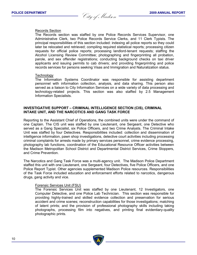**POLICE DEPARTMENT 2009 ANNUAL REPORT** City of Madison **POLICE DEPARTMENT 2009 ANNUAL REPORT** City of Madison

#### Records Section

The Records section was staffed by one Police Records Services Supervisor, one Administrative Clerk, two Police Records Service Clerks, and 11 Clerk Typists. The principal responsibilities of this section included: indexing all police reports so they could later be relocated and retrieved; compiling required statistical reports; processing citizen requests for official police reports; processing landlord-tenant requests; staffing the Alcohol Licensing Review Committee; photographing and fingerprinting all probation, parole, and sex offender registrations; conducting background checks on taxi driver applicants and issuing permits to cab drivers; and providing fingerprinting and police records services for persons seeking Visas and Immigration and Naturalization status.

#### **Technology**

The Information Systems Coordinator was responsible for assisting department personnel with information collection, analysis, and data sharing. This person also served as a liaison to City Information Services on a wide variety of data processing and technology-related projects. This section was also staffed by 2.5 Management Information Specialists.

#### **INVESTIGATIVE SUPPORT – CRIMINAL INTELLIGENCE SECTION (CIS), CRIMINAL INTAKE UNIT, AND THE NARCOTICS AND GANG TASK FORCE**

Reporting to the Assistant Chief of Operations, the combined units were under the command of one Captain. The CIS unit was staffed by one Lieutenant, one Sergeant, one Detective who served as a Gang Specialist, six Police Officers, and two Crime Analysts. The Criminal Intake Unit was staffed by four Detectives. Responsibilities included: collection and dissemination of intelligence information, pawn shop investigations, detective court activities including processing criminal complaints for arrests made by primary services personnel, crime evidence processing, photography lab functions, coordination of the Educational Resource Officer activities between the Madison Metropolitan School District and Departmental District Services, Crime Stoppers, and Crime Prevention.

The Narcotics and Gang Task Force was a multi-agency unit. The Madison Police Department staffed this unit with one Lieutenant, one Sergeant, four Detectives, five Police Officers, and one Police Report Typist. Other agencies supplemented Madison Police resources. Responsibilities of the Task Force included education and enforcement efforts related to narcotics, dangerous drugs, gang activity and vice.

#### Forensic Services Unit (FSU)

The Forensic Services Unit was staffed by one Lieutenant, 12 Investigators, one Computer Detective, and one Police Lab Technician. This section was responsible for providing highly-trained and skilled evidence collection and preservation for serious accident and crime scenes; reconstruction capabilities for those investigations; matching of latent prints; and the provision of professional photography skills including taking photographs, processing film into negatives, and printing final evidentiary-quality photographic prints.

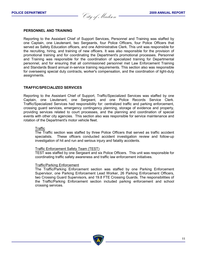**POLICE DEPARTMENT 2009 ANNUAL REPORT** City of Madison **POLICE DEPARTMENT 2009 ANNUAL REPORT** City of Madison

#### **PERSONNEL AND TRAINING**

Reporting to the Assistant Chief of Support Services, Personnel and Training was staffed by one Captain, one Lieutenant, two Sergeants, four Police Officers, four Police Officers that served as Safety Education officers, and one Administrative Clerk. This unit was responsible for the recruiting, hiring, and training of new officers. It was also responsible for the provision of promotional training and for coordinating the Department's promotional processes. Personnel and Training was responsible for the coordination of specialized training for Departmental personnel, and for ensuring that all commissioned personnel met Law Enforcement Training and Standards Board annual in-service training requirements. This section also was responsible for overseeing special duty contracts, worker's compensation, and the coordination of light-duty assignments.

#### **TRAFFIC/SPECIALIZED SERVICES**

Reporting to the Assistant Chief of Support, Traffic/Specialized Services was staffed by one Captain, one Lieutenant, one Sergeant, and one Police Records Service Clerk. Traffic/Specialized Services had responsibility for: centralized traffic and parking enforcement, crossing guard services, emergency contingency planning, storage of evidence and property, providing services related to court processes, and the planning and coordination of special events with other city agencies. This section also was responsible for service maintenance and rotation of the Department's motor vehicle fleet.

#### **Traffic**

The Traffic section was staffed by three Police Officers that served as traffic accident specialists. These officers conducted accident investigation review and follow-up investigation of hit and run and serious injury and fatality accidents.

#### Traffic Enforcement Safety Team (TEST)

TEST was staffed by one Sergeant and six Police Officers. This unit was responsible for coordinating traffic safety awareness and traffic law enforcement initiatives.

#### Traffic/Parking Enforcement

The Traffic/Parking Enforcement section was staffed by one Parking Enforcement Supervisor, one Parking Enforcement Lead Worker, 26 Parking Enforcement Officers, two Crossing Guard Supervisors, and 19.8 FTE Crossing Guards. The responsibilities of the Traffic/Parking Enforcement section included parking enforcement and school crossing services.

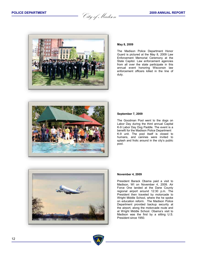**POLICE DEPARTMENT** 2009 ANNUAL REPORT<br> *City of Madison* 



#### **May 8, 2009**

The Madison Police Department Honor Guard is pictured at the May 8, 2009 Law Enforcement Memorial Ceremony at the State Capitol. Law enforcement agencies from all over the state participate in this annual event honoring Wisconsin law enforcement officers killed in the line of duty.



#### **September 7, 2009**

The Goodman Pool went to the dogs on Labor Day during the third annual Capital K-9 Labor Day Dog Paddle. The event is a benefit for the Madison Police Department K-9 unit. The pool itself is closed to humans, and canines were invited to splash and frolic around in the city's public pool.



#### **November 4, 2009**

President Barack Obama paid a visit to Madison, WI on November 4, 2009. Air Force One landed at the Dane County regional airport around 12:30 p.m. The President then traveled by motorcade to Wright Middle School, where the he spoke on education reform. The Madison Police Department provided backup security at the airport, along the motorcade route and at Wright Middle School. Obama's visit to Madison was the first by a sitting U.S. President since 1950.

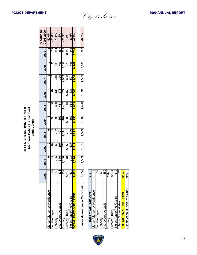|                                      |                        |       |       |       |       |       |       |          |       |       | % Change  |
|--------------------------------------|------------------------|-------|-------|-------|-------|-------|-------|----------|-------|-------|-----------|
|                                      | 2000                   | 2001  | 2002  | 2003  | 2004  | 2005  | 2006  | 2007     | 2008  | 2009  | 2008-2009 |
| Murder/Murder by Negligence          | 4                      | ဖ     | 5     | ဖ     | 3     | ო     |       | $\infty$ | 10    |       | $-60.0\%$ |
| Forcible Rape                        | თ                      | 65    | 89    | 65    | 96    | 80    | 55    | 57       | 50    | 22    | $-38.0%$  |
| Robbery                              | 286                    | 295   | 269   | 282   | 292   | 330   | 435   | 410      | 368   | 364   | $-1.1%$   |
| Aggravated Assault                   | 328                    | 346   | 397   | 427   | 455   | 43'   | 473   | 359      | 463   | 457   | $-1.3%$   |
| Burglary                             | 1,267                  | 1,358 | 1,570 | 1,611 | 1,467 | 1,462 | 1,627 | 2,059    | 2,038 | 1,523 | $-25.3%$  |
| arceny (Theft)                       | 5,366                  | 5.548 | 5,950 | 5,761 | 5,280 | 5,743 | 5.452 | 5,658    | 5.720 | 6.015 | 5.2%      |
| Stolen Autos/Trks/Cycles             | 674                    | 708   | 637   | 640   | 562   | 614   | 485   | 507      | 498   | 346   | $-30.5%$  |
| TOTAL PART ONE CRIME                 | 8,004                  | 8.326 | 8.917 | 8,792 | 8.155 | 8.663 | 8,543 | 9.058    | 9.147 | 8.740 | $-4.4%$   |
|                                      |                        |       |       |       |       |       |       |          |       |       |           |
| <b>Simple Assault (Non Part One)</b> | 1,657                  | 1,539 | 1,576 | 1,529 | 1,589 | 1,498 | 1,531 | 1,569    | 1,360 | 1,278 | $-6.0\%$  |
|                                      |                        |       |       |       |       |       |       |          |       |       |           |
| Back in the "Old Days"               | 1977                   |       |       |       |       |       |       |          |       |       |           |
| Murder/Murder by Negligence          |                        |       |       |       |       |       |       |          |       |       |           |
| Forcible Rape                        | $\overline{4}$ ज<br>ιō |       |       |       |       |       |       |          |       |       |           |
| <b>P</b> - 44                        | ্                      |       |       |       |       |       |       |          |       |       |           |

| Back in the "Old Days"        | 1977   |
|-------------------------------|--------|
| Murder/Murder by Negligence   |        |
| Forcible Rape                 | 89     |
| Robbery                       | 122    |
| Aggravated Assault            | 482    |
| Burglary                      | 2,440  |
| Larceny (Theft)               | 8,961  |
| Stolen Autos/Trks/Cycles      | 510    |
| * Arson Not Available         | ***    |
| <b>TOTAL PART ONE CRIME</b>   | 12,578 |
| Simple Assault (Non Part One) | ⋚      |

|  | ULIVE DEPARTIME |  |  |  |  |  |
|--|-----------------|--|--|--|--|--|
|  |                 |  |  |  |  |  |

**OFFENSES KNOWN TO POLICE Madison Police Department 2000 - 2009**

**OFFENSES KNOWN TO POLICE<br>Madison Police Department<br>2000 - 2009** 

**POLICE DEPARTMENT** 2009 ANNUAL REPORT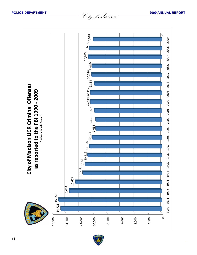**POLICE DEPARTMENT** 2009 ANNUAL REPORT<br> *City of Madison* 2009 ANNUAL REPORT



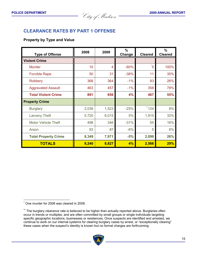**POLICE DEPARTMENT** 2009 ANNUAL REPORT

# **CLEARANCE RATES BY PART 1 OFFENSE**

#### **Property by Type and Value**

| <b>Type of Offense</b>      | 2008  | 2009  | $\%$<br>Change | <b>Cleared</b> | $\frac{9}{6}$<br><b>Cleared</b> |
|-----------------------------|-------|-------|----------------|----------------|---------------------------------|
| <b>Violent Crime</b>        |       |       |                |                |                                 |
| <b>Murder</b>               | 10    | 4     | $-60%$         | $\overline{5}$ | 100%                            |
| <b>Forcible Rape</b>        | 50    | 31    | $-38%$         | 11             | 35%                             |
| <b>Robbery</b>              | 368   | 364   | $-1\%$         | 93             | 26%                             |
| <b>Aggravated Assault</b>   | 463   | 457   | $-1%$          | 358            | 78%                             |
| <b>Total Violent Crime</b>  | 891   | 856   | 4%             | 467            | 55%                             |
| <b>Property Crime</b>       |       |       |                |                |                                 |
| <b>Burglary</b>             | 2,038 | 1,523 | $-25%$         | ** 124         | 8%                              |
| <b>Larceny Theft</b>        | 5,720 | 6,015 | 5%             | 1,915          | 32%                             |
| <b>Motor Vehicle Theft</b>  | 498   | 346   | $-31%$         | 55             | 16%                             |
| Arson                       | 93    | 87    | $-6%$          | 5              | 6%                              |
| <b>Total Property Crime</b> | 8,349 | 7,971 | $-5%$          | 2,099          | 26%                             |
| <b>TOTALS</b>               | 9,240 | 8,827 | 4%             | 2,566          | 29%                             |

<sup>\*\*</sup> The burglary clearance rate is believed to be higher than actually reported above. Burglaries often occur in trends or multiples, and are often committed by small groups or single individuals targeting specific geographic locations, businesses or residences. Once suspects are identified and arrested, we continue to work on our internal systems for clearing burglary cases by arrest, or "exceptionally clearing" these cases when the suspect's identity is known but no formal charges are forthcoming.



One murder for 2008 was cleared in 2009.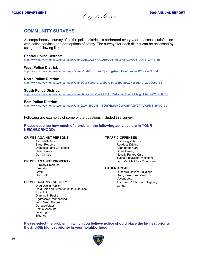**POLICE DEPARTMENT** 2009 ANNUAL REPORT

# **COMMUNITY SURVEYS**

A comprehensive survey of all the police districts is performed every year to assess satisfaction with police services and perceptions of safety. The surveys for each district can be accessed by using the following links:

#### **Central Police District:**

http://www.surveymonkey.com/sr.aspx?sm=vQoBCrwpXRR9Ar0ArLc4rhpy6M8RgXwGZ7yQoS1wVnk\_3d

#### **West Police District:**

http://www.surveymonkey.com/sr.aspx?sm=rt6\_2b1RPzjOzG7jJvPdgshxGpF9ie5rm2YnUX8wYyv7E\_3d

#### **North Police District:**

http://www.surveymonkey.com/sr.aspx?sm=6Gg8YuFKnV\_2fqPsveiP7Ql3b2rmkxCF2s5uy7a\_2bDQsc0\_3d

#### **South Police District:**

http://www.surveymonkey.com/sr.aspx?sm=Q7Oyihdms1iuS0FhGcUWdwmN\_2fv2GUDalgmHh9VdW1\_2b0\_3d

#### **East Police District:**

http://www.surveymonkey.com/sr.aspx?sm=2xL0\_2bCzVK1NX7nfkhcrUHGscWmPAQY0tTnVWPhN\_2bfqQ\_3d

Following are examples of some of the questions included this survey:

#### **Please describe how much of a problem the following activities are in YOUR NEIGHBORHOOD:**

# **CRIMES AGAINST PERSONS TRAFFIC OFFENSES**

Street Robbery **Reckless Driving** Reckless Driving Domestic/Family Violence **Abandoned Cars**<br>
Hate Crimes<br>
Hate Crimes Hate Crimes **Accord Provident Crimes** Drunk Driving Drunk Driving Communication Crimes and Drunk Driving Communication Crimes and Drunk Driving Communication Crimes and Drunk Driving Communication Crimes and Drunk Driving

#### **CRIMES AGAINST PROPERTY Loud Vehicle Music/Equipment**

Burglary/Break-ins<br>Vandalism Vandalism **OTHER AREAS**

Drug Use in Public Drug Sales on Street or in Drug Houses Prostitution Drinking in Public Aggressive Panhandling Loud Music/Parties Garbage/Litter Sexual Assaults Loitering **Truancy** 

Speeding Vehicles Illegally Parked Cars Traffic Sign/Signal Violations

Graffiti **Graffiti** Car Theft Construction Car Theft Construction Car Theft Construction Car Theft Construction Car Theft Construction Car Theft Construction Construction Construction Construction Construction Construction Overgrown Shrubs/Weeds Vacant Lots **CRIMES AGAINST SOCIETY**<br>
Drug Use in Public **Adequate Public Street Lighting**<br>
Gangs
Cangs
Conservation Cangs
Conservation Cangs
Conservation Cangs
Conservation Cangs
Conservation Cangs
Conservation Cangs
Conservation Can

**Please select the problem in which you believe police should place the highest priority, the 2nd-5th highest priority in your neighborhood.**

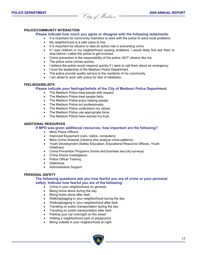**POLICE DEPARTMENT** 2009 ANNUAL REPORT

#### **POLICE/COMMUNITY INTERACTION**

#### **Please indicate how much you agree or disagree with the following statements.**

- It is important for community members to work with the police to solve local problems.
- My neighborhood is a safe place to live.
- It is important for citizens to take an active role in preventing crime.
- If I saw children in my neighborhood causing problems, I would likely first ask them to stop before I called the police to get involved.
- Crime prevention is the responsibility of the police; NOT citizens like me.
- The police solve crimes quickly.
- I believe the police would respond quickly if I were to call them about an emergency.
- I trust the leadership of the Madison Police Department.
- The police provide quality service to the residents of my community.
- I am afraid to work with police for fear of retaliation.

#### **FEELINGS/BELIEFS**

#### **Please indicate your feelings/beliefs of the City of Madison Police Department.**

- The Madison Police treat people with respect.
- The Madison Police treat people fairly.
- The Madison Police enjoy helping people.
- The Madison Police act professionally.
- The Madison Police understand my values.
- The Madison Police use appropriate force.
- The Madison Police have earned my trust.

#### **ADDITIONAL RESOURCES**

#### **If MPD was given additional resources, how important are the following?**

- More Police Officers
- Improved Equipment (cars, radios, computers)
- More Crime Analysts (citizens who analyze crime patterns)
- Youth Development (Safety Education, Educational Resource Officers, Youth Initiatives)
- Crime Prevention Programs (home and business security surveys)
- Crime Scene Investigators
- Police Officer Training
- **Detectives**
- Administrative Support

#### **PERSONAL SAFETY**

#### **The following questions ask you how fearful you are of crime or your personal safety. Indicate how fearful you are of the following:**

- Crime in your neighborhood (in general)
- Being home alone during the day
- Being home alone after dark
- Walking/jogging in your neighborhood during the day
- Walking/jogging in your neighborhood after dark
- Traveling on public transportation during the day
- Traveling on public transportation after dark
- Parking your car overnight on the street
- Visiting a neighborhood park or playground
- Being outside in your neighborhood at night

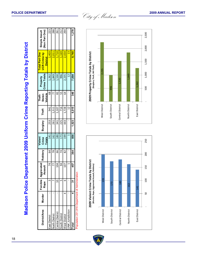| <b>District/Area</b>                           | Murder | Forcible   Aggr<br>Rape | ravated<br>sault<br>ৼ | Robbery | <b>Totals</b><br>Violent<br>Crime | Burglary | Theft          | Vehicle<br>Stolen<br>Theft- | <b>Crime Totals</b><br>Property | <b>Total Part One</b><br><b>JCR Crime by</b><br><b>District</b> | Simple Assult<br>(Non Part One) |
|------------------------------------------------|--------|-------------------------|-----------------------|---------|-----------------------------------|----------|----------------|-----------------------------|---------------------------------|-----------------------------------------------------------------|---------------------------------|
| East District                                  |        |                         | $\overline{z}$        | 64      | 141                               | 253      | 941            | $\frac{8}{3}$               | 1,262                           | 1,403                                                           | 23                              |
| <b>Jorth District</b>                          |        |                         |                       | 78      | 162                               | 261      | 1,511          |                             | 1,849                           | 2,011                                                           | 288                             |
| <b>Central District</b>                        |        |                         | 104                   | 99      | 180                               | 341      | 1,107          | 82                          | 1,530                           | 1,710                                                           | 261                             |
| South District                                 |        |                         | 54                    | 74      | 173                               | 225      | 716            | 55                          | 996                             | 1,169                                                           | 212                             |
| <b>Vest District</b>                           |        |                         | 107                   | 82      | 199                               | 43       | 1,728          | 64                          | 2,235                           | 2,434                                                           | 294                             |
| NK Jurisdiction                                |        |                         |                       |         |                                   |          | $\overline{1}$ |                             | $\overline{c}$                  | $\mathbf{a}$                                                    |                                 |
| <b>let</b> o                                   |        |                         | 457                   | 364     | 856                               | 1,523    | 6,015          | 346                         | 7,884                           | 8,740                                                           | 1,278                           |
| Population 231,916 Department of Adminstration |        |                         |                       |         |                                   |          |                |                             |                                 |                                                                 |                                 |



**HADISO** 





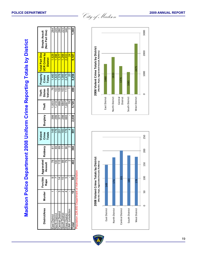| <b>Jistrict/Area</b>                     | Murder | Forcible<br>Rape | Aggravated<br><b>Assault</b> | Robbery           | Violent<br>Crime<br>Totals | <b>Burglary</b> | Theft | Vehicle<br>Theft-<br>Stolen | Property<br>Crime<br><b>Totals</b> | Total Part One<br><b>JCR Crime by</b><br><b>District</b> | Simple Assult<br>(Non Part One) |
|------------------------------------------|--------|------------------|------------------------------|-------------------|----------------------------|-----------------|-------|-----------------------------|------------------------------------|----------------------------------------------------------|---------------------------------|
| East District                            |        |                  | $\overline{78}$              | 67                | 149                        | 399             | 1,003 | $\overline{78}$             | 1,480                              | 1,629                                                    | 264                             |
| <b>Jorth District</b>                    |        |                  | $\frac{100}{2}$              | 89                | 176                        | 299             | 1,418 | 103                         | 1,820                              | 1,996                                                    | 245                             |
| Central District                         |        | 4                | 115                          | 69                | 201                        | 377             | 899   | $\overline{00}$             | 1,376                              | 1.577                                                    | <b>087</b>                      |
| South District                           |        | ю                | 89                           | 77                | 183                        | 298             | 684   | 103                         | 1,085                              | 1,268                                                    | 223                             |
| Vest District                            |        | 5                | PS.                          | 8                 | 178                        | 665             | 1.697 | 13                          | 2,475                              | 2,653                                                    | 346                             |
| <b>VK Jurisdiction</b>                   |        |                  | $\mathbf{\Omega}$            | $\mathbf{\Omega}$ |                            |                 | Q)    |                             | $\overline{c}$                     | $\frac{1}{2}$                                            | $\mathbf{\Omega}$               |
| $\overline{\text{at}}$                   |        | ន                | 463                          | 368               | 891                        | 2,038           | 5,720 | 498                         | 8,256                              | 9,147                                                    | ,360                            |
| ulation 226,650 Department of Adminstrat |        |                  | န                            |                   |                            |                 |       |                             |                                    |                                                          |                                 |



**HADISON** 



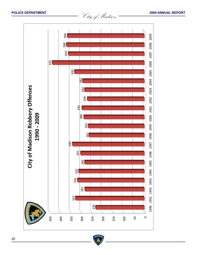

**BADIS**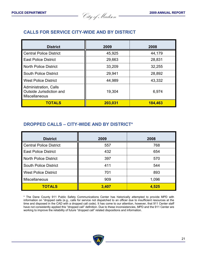**POLICE DEPARTMENT 2009 ANNUAL REPORT** City of Madison **POLICE DEPARTMENT <sup>2009</sup> ANNUAL REPORT** City of Madison

# **CALLS FOR SERVICE CITY-WIDE AND BY DISTRICT**

| <b>District</b>                                                           | 2009    | 2008    |
|---------------------------------------------------------------------------|---------|---------|
| <b>Central Police District</b>                                            | 45,925  | 44,179  |
| <b>East Police District</b>                                               | 29,663  | 28,831  |
| <b>North Police District</b>                                              | 33,209  | 32,255  |
| <b>South Police District</b>                                              | 29,941  | 28,892  |
| <b>West Police District</b>                                               | 44,989  | 43,332  |
| Administration, Calls<br>Outside Jurisdiction and<br><b>Miscellaneous</b> | 19,304  | 6,974   |
| <b>TOTALS</b>                                                             | 203,031 | 184,463 |

# **DROPPED CALLS – CITY-WIDE AND BY DISTRICT\***

| <b>District</b>                | 2009  | 2008  |
|--------------------------------|-------|-------|
| <b>Central Police District</b> | 557   | 768   |
| <b>East Police District</b>    | 432   | 654   |
| <b>North Police District</b>   | 397   | 570   |
| <b>South Police District</b>   | 411   | 544   |
| <b>West Police District</b>    | 701   | 893   |
| Miscellaneous                  | 909   | 1,096 |
| <b>TOTALS</b>                  | 3,407 | 4,525 |

\* The Dane County 911 Public Safety Communications Center has historically attempted to provide MPD with information on "dropped calls (e.g., calls for service not dispatched to an officer due to insufficient resources at the time and disposed in the CAD with a dropped call code). It has come to our attention, however, that 911 Center staff have not consistently applied this "dropped call" definition. Due to these inconsistencies, MPD and the 911 Center are working to improve the reliability of future "dropped call" related dispositions and information.

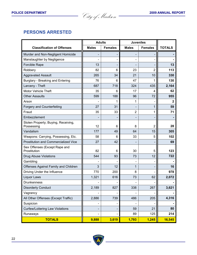**POLICE DEPARTMENT 2009 ANNUAL REPORT** City of Madison **POLICE DEPARTMENT <sup>2009</sup> ANNUAL REPORT** City of Madison

# **PERSONS ARRESTED**

|                                                   | <b>Adults</b> |                | <b>Juveniles</b> |                |               |
|---------------------------------------------------|---------------|----------------|------------------|----------------|---------------|
| <b>Classification of Offenses</b>                 | <b>Males</b>  | <b>Females</b> | <b>Males</b>     | <b>Females</b> | <b>TOTALS</b> |
| Murder and Non-Negligent Homicide                 |               | -              |                  |                |               |
| Manslaughter by Negligence                        |               |                |                  |                |               |
| <b>Forcible Rape</b>                              | 13            |                |                  |                | 13            |
| Robbery                                           | 82            | 6              | 23               | $\overline{2}$ | 113           |
| <b>Aggravated Assault</b>                         | 265           | 34             | 21               | 10             | 330           |
| Burglary - Breaking and Entering                  | 76            | 6              | 47               |                | 130           |
| Larceny - Theft                                   | 687           | 718            | 324              | 435            | 2,164         |
| <b>Motor Vehicle Theft</b>                        | 35            | 6              | 17               | 4              | 62            |
| <b>Other Assaults</b>                             | 599           | 188            | 96               | 72             | 955           |
| Arson                                             |               | 1              | 1                |                | $\mathbf{2}$  |
| <b>Forgery and Counterfeiting</b>                 | 27            | 31             |                  | 1              | 59            |
| Fraud                                             | 35            | 33             | $\overline{2}$   | 1              | 71            |
| Embezzlement                                      |               |                |                  |                |               |
| Stolen Property; Buying, Receiving,<br>Possessing | 12            | 6              | 8                | 2              | 28            |
| Vandalism                                         | 177           | 49             | 64               | 15             | 305           |
| Weapons: Carrying, Possessing, Etc.               | 58            | 6              | 33               | 5              | 102           |
| <b>Prostitution and Commercialized Vice</b>       | 27            | 42             |                  |                | 69            |
| Sex Offenses (Except Rape and<br>Prostitution     | 82            | 6              | 30               | 5              | 123           |
| <b>Drug Abuse Violations</b>                      | 544           | 93             | 73               | 12             | 722           |
| Gambling                                          |               |                |                  |                |               |
| Offenses Against Family and Children              | 3             | 12             | 1                |                | 16            |
| Driving Under the Influence                       | 770           | 200            | 8                |                | 978           |
| Liquor Laws                                       | 1,321         | 616            | 73               | 62             | 2,072         |
| <b>Drunkenness</b>                                |               |                |                  |                |               |
| <b>Disorderly Conduct</b>                         | 2,189         | 827            | 338              | 267            | 3,621         |
| Vagrancy                                          |               |                |                  |                |               |
| All Other Offenses (Except Traffic)               | 2,886         | 739            | 486              | 205            | 4,316         |
| Suspicion                                         |               |                |                  |                |               |
| <b>Curfew/Loitering Law Violations</b>            |               |                | 59               | 21             | 80            |
| Runaways                                          |               |                | 89               | 125            | 214           |
| <b>TOTALS</b>                                     | 9,888         | 3,619          | 1,793            | 1,245          | 16,545        |

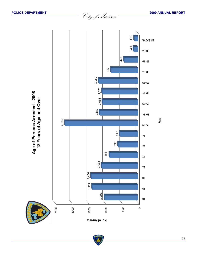

**POLICE DEPARTMENT** 2009 ANNUAL REPORT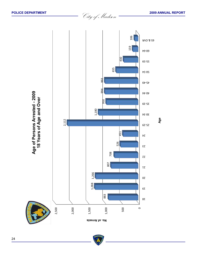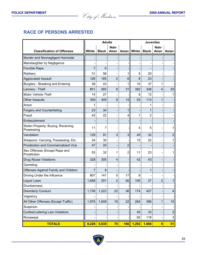**POLICE DEPARTMENT** 2009 ANNUAL REPORT

# **RACE OF PERSONS ARRESTED**

|                                                   |                | <b>Adults</b> |                          |              |       | <b>Juveniles</b> |                     |                  |
|---------------------------------------------------|----------------|---------------|--------------------------|--------------|-------|------------------|---------------------|------------------|
| <b>Classification of Offenses</b>                 | White          | <b>Black</b>  | <b>Naty</b><br>Amer      | <b>Asian</b> | White | <b>Black</b>     | <b>Naty</b><br>Amer | Asian            |
| Murder and Nonnegligent Homicide                  |                |               |                          |              |       |                  |                     |                  |
| Manslaughter by Negligence                        |                |               |                          |              |       |                  |                     |                  |
| Forcible Rape                                     | $\overline{7}$ | 6             |                          |              |       |                  |                     |                  |
| Robbery                                           | 31             | 56            |                          | 1            | 5     | 20               |                     |                  |
| <b>Aggravated Assault</b>                         | 126            | 165           | 2                        | 6            | 8     | 23               |                     |                  |
| Burglary - Breaking and Entering                  | 38             | 43            |                          | 1            | 10    | 37               | 1                   |                  |
| Larceny - Theft                                   | 801            | 565           | 8                        | 31           | 382   | 348              | 4                   | 25               |
| Motor Vehicle Theft                               | 14             | 27            | $\overline{\phantom{0}}$ |              | 8     | 12               |                     | 1                |
| <b>Other Assaults</b>                             | 359            | 405           | 9                        | 14           | 53    | 114              | 1                   |                  |
| Arson                                             | 1              |               | ۰                        |              |       |                  |                     |                  |
| <b>Forgery and Counterfeiting</b>                 | 23             | 34            | -                        | 1            |       | 1                |                     |                  |
| Fraud                                             | 42             | 22            | -                        | 4            | 1     | 2                |                     |                  |
| Embezzlement                                      |                |               |                          |              |       |                  |                     |                  |
| Stolen Property; Buying, Receiving,<br>Possessing | 11             | 7             | ۰                        |              | 4     | 5                |                     | 1                |
| Vandalism                                         | 129            | 91            | 3                        | 3            | 45    | 32               |                     | $\mathbf 2$      |
| Weapons: Carrying, Possessing, Etc.               | 34             | 30            |                          |              | 15    | 22               |                     | 1                |
| <b>Prostitution and Commercialized Vice</b>       | 47             | 20            | -                        | 2            |       |                  |                     |                  |
| Sex Offenses (Except Rape and<br>Prostitution     | 53             | 32            | 1                        | 2            | 11    | 23               |                     | 1                |
| <b>Drug Abuse Violations</b>                      | 328            | 305           | 4                        |              | 42    | 43               |                     |                  |
| Gambling                                          |                |               |                          |              |       |                  |                     |                  |
| Offenses Against Family and Children              | $\overline{7}$ | 8             |                          |              |       | 1                |                     |                  |
| Driving Under the Influence                       | 807            | 141           | 5                        | 17           | 8     |                  |                     |                  |
| Liquor Laws                                       | 1,658          | 251           | $\overline{2}$           | 26           | 105   | 27               | $\overline{2}$      | 1                |
| Drunkenness                                       |                |               | -                        |              |       |                  |                     | -                |
| <b>Disorderly Conduct</b>                         | 1,736          | 1,222         | 22                       | 36           | 174   | 427              |                     | $\overline{4}$   |
| Vagrancy                                          |                |               |                          |              |       |                  |                     | -                |
| All Other Offenses (Except Traffic)               | 1,976          | 1,608         | 19                       | 22           | 284   | 396              | $\mathbf 1$         | 10               |
| Suspicion                                         |                |               |                          |              |       |                  |                     |                  |
| <b>Curfew/Loitering Law Violations</b>            |                |               |                          |              | 45    | 33               |                     | $\boldsymbol{2}$ |
| Runaways                                          |                |               | -                        |              | 92    | 119              |                     | 3                |
| <b>TOTALS</b>                                     | 8,228          | 5,038         | 75                       | 166          | 1,292 | 1,686            | $\overline{9}$      | 51               |

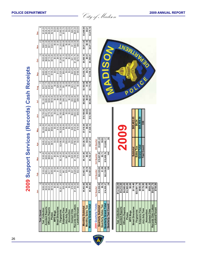|                           |                    | <b>2009 Su</b>       | pport Services (Records) Cash Receipts |             |            |             |            |            |            |                |               |            |
|---------------------------|--------------------|----------------------|----------------------------------------|-------------|------------|-------------|------------|------------|------------|----------------|---------------|------------|
|                           | Jan                | Feb                  | Mar                                    | Ąpr         | Nay        | å           | ξ          | Aug        | Sep        | ŏ              | $\frac{8}{2}$ | Dec        |
| Taxi Count                | 12                 |                      | $\infty$                               | ő           | 82         | 57          | 116        |            |            | చ              | 21            | 10         |
| Taxi Collection           | \$290.00           | 0.00<br>\$100        | \$195.00                               | \$245.00    | \$2,050.00 | \$5,755.00  | \$3,120.00 | \$275.00   | \$420.00   | \$325.00       | \$825.00      | \$120.00   |
| <b>Accident Reports</b>   | \$532.50           | 1.25<br>\$58         | \$363.25                               | \$353.25    | \$544.75   | \$391.00    | \$385.00   | \$247.75   | \$366.00   | \$628.00       | \$281.00      | \$535.25   |
| Officers Reports          | \$523.45           | .95<br><b>S417</b>   | \$664.60                               | \$481.40    | \$561.60   | \$779.35    | \$394.25   | \$345.80   | \$1,015.15 | \$715.00       | \$615.90      | \$426.40   |
| <b>Photos</b>             | \$815.00           | <b>1.50</b><br>\$290 | \$451.25                               | \$674.50    | \$500.00   | \$270.75    | \$918.00   | \$287.00   | \$155.00   | \$473.00       | \$320.00      | \$210.00   |
| <b>MPD Mugs</b>           | \$0.00             | 0.00<br>ē            | \$0.00                                 | \$0.00      | \$0.00     | \$0.00      | \$0.00     | \$0.00     | \$0.00     | \$0.00         | \$0.00        | \$0.00     |
| <b>Street Directories</b> | \$3.80             | 1.90                 | \$7.60                                 | \$9.90      | \$15.20    | \$11.40     | \$9.50     | \$26.60    | \$13.30    | \$9.50         | \$1.90        | \$3.80     |
| <b>Fingerprints</b>       | \$2,201.25         | 0.75<br>\$1,570      | \$2,143.25                             | \$2,498.50  | \$2,530.00 | \$2,160.00  | \$2,188.00 | \$1,540.00 | \$1,520.00 | \$1,540.00     | \$1,330.00    | \$1,360.00 |
| Subpoena Fees             | \$55.00            | .50<br>\$67          | \$0.00                                 | \$0.00      | \$36.00    | \$69.00     | \$45.70    | \$51.00    | \$50.00    | \$112.10       | \$66.00       | \$103.75   |
| Jury duty Fees            | \$0.00             | \$35.00              | \$87.50                                | \$36.90     | \$0.00     | \$0.00      | \$17.50    | \$0.00     | \$0.00     | \$0.00         | \$0.00        | \$0.00     |
| Ammunition                | \$0.00             | 0.00<br>ē            | \$0.00                                 | \$0.00      | \$0.00     | \$0.00      | \$0.00     | \$0.00     | \$0.00     | \$0.00         | \$0.00        | \$0.00     |
| <b>Contact Chks</b>       | \$76.60            | 7.25<br>\$37         | \$25.50                                | \$39.25     | \$40.75    | \$63.50     | \$53.50    | \$23.75    | \$43.25    | \$41.75        | \$11.50       | \$46.75    |
| Records Chks Letters      | \$1,456.00         | \$326.00             | \$1,188.00                             | \$788.00    | \$725.00   | \$633.00    | \$863.00   | \$372.00   | \$605.00   | \$1,383.75     | \$464.00      | \$624.00   |
| Landlord/Tenant           | \$0.00             | \$32.00              | \$16.00                                | \$0.00      | \$16.00    | \$56.00     | \$88.00    | \$0.00     | \$168.00   | \$272.00       | \$96.00       | \$40.00    |
|                           |                    |                      |                                        |             |            |             |            |            |            |                |               |            |
| <b>Monthly Subtotal</b>   | \$5,953.60         | \$3,463.10           | \$5,141.95                             | \$5,126.70  | \$7,019.30 | \$10,189.00 | \$8,082.45 | \$3,168.90 | \$4,355.70 | \$5,500.10     | \$4,011.30    | \$3,469.95 |
| <b>Monthly Sales Tax</b>  | \$0.20             | \$0.10               | \$0.42                                 | \$0.54      | \$0.82     | \$0.63      | \$0.52     | \$1.46     | \$0.73     | \$0.51         | \$0.10        | \$0.21     |
| Monthly Grand Total       | \$5,953.80         | \$3,463.20           | \$5,142.37                             | \$5,127.24  | \$7,020.12 | \$10,189.63 | \$8,082.97 | \$3,170.36 | \$4,356.43 | \$5,500.61     | \$4,011.40    | \$3,470.16 |
|                           |                    |                      |                                        |             |            |             |            |            |            |                |               |            |
| 2009 Quarterly Totals     | <b>1st Quarter</b> | 2d Quarter           | 3rd Quarter                            | 4th Quarter |            |             |            |            |            |                |               |            |
| Quarterly Subtotal        | \$14,558.65        | \$22,335.00          | \$15,607.05                            | \$12,981.35 |            |             |            |            |            |                |               |            |
| Quarterly Sales Tax       | \$0.72             | .99<br>è             | \$2.71                                 | \$0.82      |            |             |            |            |            |                |               |            |
| Quarterly Grand Total     | \$14,559.37        | 3.99<br>\$22,336     | \$15,609.76                            | \$12,982.17 |            |             |            |            |            | $\overline{S}$ |               |            |
| Quarterly Taxi Count      | $\overline{a}$     | 129                  | 144                                    | 39          |            |             |            |            |            |                |               |            |
|                           |                    |                      |                                        |             |            |             |            |            |            |                |               |            |
|                           |                    |                      |                                        |             |            |             |            |            |            |                |               |            |
| Taxi Collection           | \$13,720.00        |                      |                                        |             |            |             |            |            |            |                |               |            |
| <b>Accident Reports</b>   | \$5,212.00         |                      |                                        | COU         |            |             |            |            |            |                |               |            |



|                 |                         |                         |               |          | \$65,482.05               | \$6.24       | \$65,488.29          | 336               |
|-----------------|-------------------------|-------------------------|---------------|----------|---------------------------|--------------|----------------------|-------------------|
|                 |                         |                         |               |          | Subtotal                  | Sales Tax    | <b>Grand Total</b>   | <b>Taxi Count</b> |
| \$13,720.00     | \$5,212.00              | \$6,940.8               | \$5,365.0     | \$0.00   | \$114.40                  | \$22,581.75  | \$656.05             | \$176.90          |
| Taxi Collection | <b>Accident Reports</b> | <b>Officers Reports</b> | <b>Photos</b> | MPD Mugs | <b>Street Directories</b> | Fingerprints | <b>Subpoena Fees</b> | Jury duty Fees    |

**Ammunition \$0.00 Contact Chks \$503.35 Records Chks Letters \$9,427.75 Landlord/Tenant \$784.00**

Ammunition

\$784.00

 $0.06$ 

\$503.3 \$9,427.7

**Contact Chks**<br>Records Chks Letters

Landlord/Tenant

ADISO

**Accident Reports<br>Officers Reports<br>Photos<br>MPD Mugs<br>Street Directories**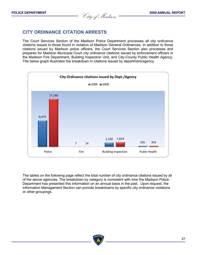**POLICE DEPARTMENT** 2009 ANNUAL REPORT<br> *City of Madison* 

# **CITY ORDINANCE CITATION ARRESTS**

The Court Services Section of the Madison Police Department processes all city ordinance citations issued to those found in violation of Madison General Ordinances. In addition to those citations issued by Madison police officers, the Court Services Section also processes and prepares for Madison Municipal Court city ordinance citations issued by enforcement officers in the Madison Fire Department, Building Inspection Unit, and City-County Public Health Agency. The below graph illustrates the breakdown in citations issued by department/agency.



The tables on the following page reflect the total number of city ordinance citations issued by all of the above agencies. The breakdown by category is consistent with how the Madison Police Department has presented this information on an annual basis in the past. Upon request, the Information Management Section can provide breakdowns by specific city ordinance violations or other groupings.

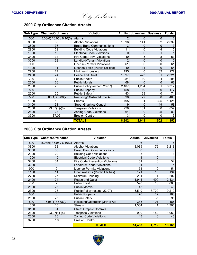**POLICE DEPARTMENT** 2009 ANNUAL REPORT

| Sub Type | <b>Chapter/Ordinance</b>   | <b>Violation</b>                  | <b>Adults</b> | <b>Juveniles</b> | <b>Business</b> | <b>Totals</b> |
|----------|----------------------------|-----------------------------------|---------------|------------------|-----------------|---------------|
| 500      | $5.08(6)$ / 6.05 / 6.10(3) | Alarms                            |               | 0                | 0               |               |
| 3800     | 38                         | <b>Alcohol Violations</b>         | 1,896         | 141              |                 | 2,039         |
| 3600     | 36                         | <b>Broad Band Communications</b>  | 3             | 0                | 0               |               |
| 2900     | 29                         | <b>Building Code Violations</b>   | 11            | 0                |                 | 15            |
| 1900     | 19                         | <b>Electrical Code Violations</b> | 0             | 0                |                 |               |
| 3400     | 34                         | Fire Code/Prev. Violations        | 40            | 5                | 8               | 53            |
| 3200     | 32                         | Landlord/Tenant Violations        | 2             | 0                | 0               |               |
| 900      | 9                          | <b>License-Permits Violations</b> | 61            | 0                | 0               | 61            |
| 1100     | 11                         | License-Taxis (Public Utilities)  | 40            | 14               | 0               | 54            |
| 2700     | 27                         | Minimum Housing                   | 195           | O                | 82              | 277           |
| 2400     | 24                         | Peace and Quiet                   | 1,897         | 423              |                 | 2,321         |
| 700      | 7                          | <b>Public Health</b>              | 284           | 10               |                 | 298           |
| 2600     | 26                         | <b>Public Morals</b>              | 68            | $\Omega$         | 0               | 68            |
| 2300     | 23                         | Public Policy (except 23.07)      | 2,107         | 1,204            |                 | 3,312         |
| 800      | 8                          | <b>Public Property</b>            | 158           | 19               | 0               | 177           |
| 2500     | 25                         | <b>Public Safety</b>              | 43            | 28               | 0               | 71            |
| 500      | 5.06(1)/5.06(2)            | Resisting/Obstruct/Flr to Aid     | 396           | 72               | $\Omega$        | 468           |
| 1000     | 10                         | <b>Streets</b>                    | 795           |                  | 325             | 1,121         |
| 3100     | 31                         | <b>Street Graphics Control</b>    | 9             | 0                | 49              | 58            |
| 2300     | $23.07(1)-(8)$             | <b>Trespass Violations</b>        | 728           | 131              | ი               | 859           |
| 2800     | 28                         | <b>Zoning Code Violations</b>     | 64            | 0                | 25              | 89            |
| 3700     | 37.06                      | <b>Erosion Control</b>            | 3             | 0                | 0               |               |
|          |                            | <b>TOTALS</b>                     | 8,802         | 2,048            | 502             | 11,352        |

# **City Ordinance Citation Arrests**

# **City Ordinance Citation Arrests**

| <b>Sub Type</b> | <b>Chapter/Ordinance</b>   | <b>Violation</b>                  | <b>Adults</b> | <b>Juveniles</b> | <b>Totals</b> |
|-----------------|----------------------------|-----------------------------------|---------------|------------------|---------------|
| 500             | $5.08(6)$ / 6.05 / 6.10(3) | <b>Alarms</b>                     | 6             | 0                | 6             |
| 3800            | 38                         | <b>Alcohol Violations</b>         | 3,039         | 179              | 3,218         |
| 3600            | 36                         | <b>Broad Band Communications</b>  | 0             | $\Omega$         |               |
| 2900            | 29                         | <b>Building Code Violations</b>   | 3             | 0                | 3             |
| 1900            | 19                         | <b>Electrical Code Violations</b> |               | $\mathbf 0$      |               |
| 3400            | 34                         | Fire Code/Prevention Violations   | 51            | 3                | 54            |
| 3200            | 32                         | <b>Landlord/Tenant Violations</b> | 4             | $\Omega$         |               |
| 900             | 9                          | License-Permits Violations        | 51            | $\mathbf 0$      | 51            |
| 1100            | 11                         | License-Taxis (Public Utilities)  | 121           | 13               | 134           |
| 2700            | 27                         | Minimum Housing                   | 201           |                  | 202           |
| 2400            | 24                         | Peace and Quiet                   | 1,944         | 490              | 2,434         |
| 700             | 7                          | <b>Public Health</b>              | 590           | 15               | 605           |
| 2600            | 26                         | <b>Public Morals</b>              | 45            | 3                | 48            |
| 2300            | 23                         | Public Policy (except 23.07)      | 5,519         | 3,700            | 9,219         |
| 800             | 8                          | <b>Public Property</b>            | 176           | 12               | 188           |
| 2500            | 25                         | <b>Public Safety</b>              | 60            | 35               | 95            |
| 500             | 5.06(1) / 5.06(2)          | Resisting/Obstructing/Flr to Aid  | 385           | 101              | 486           |
| 1000            | 10                         | <b>Streets</b>                    | 1,304         |                  | 1,305         |
| 3100            | 31                         | <b>Street Graphic Controls</b>    | 5             | $\Omega$         | 5             |
| 2300            | $23.07(1)-(8)$             | <b>Trespass Violations</b>        | 900           | 159              | 1,059         |
| 2800            | 28                         | <b>Zoning Code Violations</b>     | 48            | 0                | 48            |
| 3700            | 37.06                      | <b>Erosion Control</b>            |               | 0                | 0             |
|                 |                            | <b>TOTALS</b>                     | 14,453        | 4,712            | 19,165        |

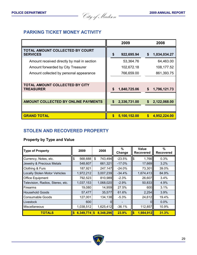**POLICE DEPARTMENT** 2009 ANNUAL REPORT

# **PARKING TICKET MONEY ACTIVITY**

|                                                           |    | 2009         | 2008               |  |
|-----------------------------------------------------------|----|--------------|--------------------|--|
| TOTAL AMOUNT COLLECTED BY COURT<br><b>SERVICES</b>        | \$ | 922,695.94   | 1,034,034.27<br>\$ |  |
| Amount received directly by mail in section               |    | 53,364.76    | 64,463.00          |  |
| Amount forwarded by City Treasurer                        |    | 102,672.18   | 108,177.52         |  |
| Amount collected by personal appearance                   |    | 766,659.00   | 861,393.75         |  |
|                                                           |    |              |                    |  |
| <b>TOTAL AMOUNT COLLECTED BY CITY</b><br><b>TREASURER</b> | \$ | 1,840,725.06 | 1,796,121.73<br>S  |  |
|                                                           |    |              |                    |  |
| <b>AMOUNT COLLECTED BY ONLINE PAYMENTS</b>                | \$ | 2,336,731.00 | 2,122,068.00<br>S  |  |
|                                                           |    |              |                    |  |
| <b>GRAND TOTAL</b>                                        | \$ | 5,100,152.00 | S.<br>4,952,224.00 |  |

# **STOLEN AND RECOVERED PROPERTY**

# **Property by Type and Value**

| <b>Type of Property</b>              | 2009           | 2008          | $\%$<br>Change |          | <b>Value</b><br><b>Recovered</b> | $\%$<br><b>Recovered</b> |
|--------------------------------------|----------------|---------------|----------------|----------|----------------------------------|--------------------------|
| Currency, Notes, etc.                | \$<br>568,688  | \$<br>743,494 | $-23.5%$       | \$       | 1,766                            | 0.3%                     |
| Jewelry & Precious Metals            | 548,607        | 661,321       | $-17.0%$       |          | 17,669                           | 3.2%                     |
| Clothing & Furs                      | 187,921        | 247,147       | $-24.0%$       |          | 73,301                           | 39.0%                    |
| <b>Locally Stolen Motor Vehicles</b> | 1,972,212      | 3,007,239     | $-34.4%$       |          | 1,674,413                        | 84.9%                    |
| <b>Office Equipment</b>              | 792,523        | 810,989       | $-2.3%$        |          | 26,607                           | 3.4%                     |
| Television, Radios, Stereo, etc.     | 1,037,153      | 1,068,020     | $-2.9%$        |          | 50,833                           | 4.9%                     |
| Firearms                             | 19,080         | 14,959        | 27.5%          |          | 600                              | 3.1%                     |
| <b>Household Goods</b>               | 57,477         | 35,577        | 61.6%          |          | 2,254                            | 3.9%                     |
| <b>Consumable Goods</b>              | 127,001        | 134,138       | $-5.3%$        |          | 24,612                           | 19.4%                    |
| Livestock                            | 600            |               |                |          |                                  | 0.0%                     |
| <b>Miscellaneous</b>                 | 1,038,512      | 1,625,412     | $-36.1%$       |          | 112,857                          | 10.9%                    |
| <b>TOTALS</b>                        | $6,349,774$ \$ | 8,348,296     | 23.9%          | <b>S</b> | 1,984,912                        | 31.3%                    |

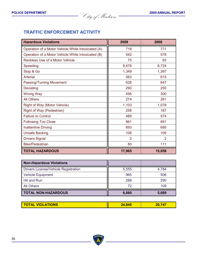**POLICE DEPARTMENT 2009 ANNUAL REPORT** City of Madison **POLICE DEPARTMENT <sup>2009</sup> ANNUAL REPORT** City of Madison

# **TRAFFIC ENFORCEMENT ACTIVITY**

| <b>Hazardous Violations</b>                        | 2009           | 2008           |
|----------------------------------------------------|----------------|----------------|
| Operation of a Motor Vehicle While Intoxicated (A) | 718            | 771            |
| Operation of a Motor Vehicle While Intoxicated (B) | 542            | 578            |
| Reckless Use of a Motor Vehicle                    | 75             | 93             |
| Speeding                                           | 9,476          | 6,724          |
| Stop & Go                                          | 1,349          | 1,387          |
| <b>Arterial</b>                                    | 563            | 615            |
| Passing/Turning Movement                           | 628            | 647            |
| Deviating                                          | 290            | 255            |
| <b>Wrong Way</b>                                   | 456            | 300            |
| <b>All Others</b>                                  | 274            | 261            |
| Right of Way (Motor Vehicle)                       | 1,103          | 1,078          |
| Right of Way (Pedestrian)                          | 258            | 167            |
| <b>Failure to Control</b>                          | 489            | 574            |
| <b>Following Too Close</b>                         | 861            | 691            |
| <b>Inattentive Driving</b>                         | 693            | 695            |
| <b>Unsafe Backing</b>                              | 108            | 109            |
| <b>Drivers Signal</b>                              | $\overline{2}$ | $\overline{2}$ |
| <b>Bike/Pedestrian</b>                             | 80             | 111            |
| <b>TOTAL HAZARDOUS</b>                             | 17,965         | 15,058         |

| <b>Non-Hazardous Violations</b>             |       |       |
|---------------------------------------------|-------|-------|
| <b>Drivers License/Vehicle Registration</b> | 5,555 | 4,784 |
| <b>Vehicle Equipment</b>                    | 965   | 506   |
| Hit and Run                                 | 288   | 290   |
| <b>All Others</b>                           | 72    | 109   |
| <b>TOTAL NON-HAZARDOUS</b>                  | 6,880 | 5,689 |

| <b>TOTAL VIOLATIONS</b> | 845<br>74 | N 717<br>70 |
|-------------------------|-----------|-------------|
|-------------------------|-----------|-------------|

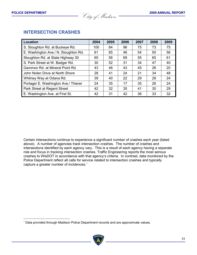l

**POLICE DEPARTMENT 2009 ANNUAL REPORT** City of Madison **POLICE DEPARTMENT <sup>2009</sup> ANNUAL REPORT** City of Madison

| <b>INTERSECTION CRASHES</b> |
|-----------------------------|
|-----------------------------|

| Location                             | 2004 | 2005 | 2006 | 2007 | 2008 | 2009 |
|--------------------------------------|------|------|------|------|------|------|
| S. Stoughton Rd. at Buckeye Rd.      | 100  | 84   | 96   | 75   | 73   | 75   |
| E. Washington Ave./ N. Stoughton Rd. | 61   | 65   | 46   | 54   | 50   | 56   |
| Stoughton Rd. at State Highway 30    | 65   | 56   | 69   | 55   | 65   | 61   |
| S. Park Street at W. Badger Rd.      | 30   | 52   | 31   | 34   | 47   | 40   |
| Gammon Rd. at Mineral Point Rd.      | 43   | 46   | 43   | 45   | 26   | 20   |
| John Nolen Drive at North Shore      | 28   | 41   | 24   | 21   | 34   | 48   |
| Whitney Way at Odana Rd.             | 39   | 40   | 22   | 29   | 29   | 24   |
| Portage/ E. Washington Ave./ Thierer | 24   | 35   | 17   | 35   | 26   | 24   |
| Park Street at Regent Street         | 42   | 32   | 35   | 41   | 30   | 29   |
| E. Washington Ave. at First St.      | 42   | 31   | 42   | 36   | 33   | 32   |

Certain intersections continue to experience a significant number of crashes each year (listed above). A number of agencies track intersection crashes. The number of crashes and intersections identified by each agency vary. This is a result of each agency having a separate role and focus in tracking intersection crashes. Traffic Engineering reports the most serious crashes to WisDOT in accordance with that agency's criteria. In contrast, data monitored by the Police Department reflect all calls for service related to intersection crashes and typically capture a greater number of incidences.<sup>\*</sup>

<sup>∗</sup> Data provided through Madison Police Department records and are approximate values.

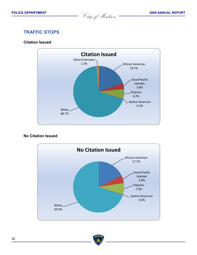**POLICE DEPARTMENT 2009 ANNUAL REPORT** City of Madison **POLICE DEPARTMENT <sup>2009</sup> ANNUAL REPORT** City of Madison

# **TRAFFIC STOPS**

## **Citation Issued**



## **No Citation Issued**



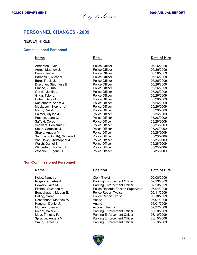**POLICE DEPARTMENT** 2009 ANNUAL REPORT

# **PERSONNEL CHANGES - 2009**

### **NEWLY HIRED**

#### **Commissioned Personnel**

#### **Name Rank Date of Hire Rank Date of Hire**

| Anderson, Lynn E.                | <b>Police Officer</b> | 05/26/2009 |
|----------------------------------|-----------------------|------------|
| Aures, Matthew J.                | Police Officer        | 05/26/2009 |
| Bailey, Justin T.                | Police Officer        | 05/26/2009 |
| Barcheski, Michael J.            | <b>Police Officer</b> | 05/26/2009 |
| Bare, Travis J.                  | Police Officer        | 05/26/2009 |
| Drescher, Stephanie B.           | Police Officer        | 05/26/2009 |
| Franco, Zulma J.                 | Police Officer        | 05/26/2009 |
| Garcia, Justin L.                | Police Officer        | 05/26/2009 |
| Grigg, Tyler J.                  | Police Officer        | 05/26/2009 |
| Huber, Derek C.                  | <b>Police Officer</b> | 05/26/2009 |
| Kastenholz, Adam X.              | Police Officer        | 05/26/2009 |
| Mackesey, Stephen J.             | Police Officer        | 05/26/2009 |
| Mertz, David J.                  | Police Officer        | 05/26/2009 |
| Palmer, Alyssa J.                | Police Officer        | 05/26/2009 |
| Preston, Jane C.                 | Police Officer        | 05/26/2009 |
| Saffold, Corey                   | Police Officer        | 05/26/2009 |
| Schwarz, Benjamin D.             | Police Officer        | 05/26/2009 |
| Smith, Cornelius J.              | Police Officer        | 05/26/2009 |
| Straka, Angela M.                | Police Officer        | 05/26/2009 |
| Sunquist (Griffith), Nichelle L. | Police Officer        | 05/26/2009 |
| Van Hove, Christopher J.         | Police Officer        | 05/26/2009 |
| Walsh, Daniel B.                 | Police Officer        | 05/26/2009 |
| Wipperfurth, Richard D.          | Police Officer        | 05/26/2009 |
| Woehrle, Eugene C.               | Police Officer        | 05/26/2009 |
|                                  |                       |            |

#### **Non-Commissioned Personnel**

#### **Name Position Position Date of Hire**

Kelso, Nancy J. Clerk Typist 1 02/08/2009 Rogers, Charles A. Parking Enforcement Officer 02/23/2009 Powers, Jake M. Parking Enforcement Officer 02/23/2009 Fitchtel, Suzanne M. Police Records Section Supervisor 05/04/2009 Bondehagen, Megan E. Police Report Typist 05/11/2009 Police Report Typist 05/18/2009 Resenhoeft, Matthew W. **Analyst Analyst 1888 1888 1888 1888 1888 1888 1888 1888 1888 1888 1888 1888 1888 1888 1888 1888 1888 1888 1888 1888 1888 1888 1888 1888 1888 18** Haueter, Daniel J. Analyst 06/01/2009 McElroy, Stewart Account Tech 2 07/27/2009 Parking Enforcement Officer 08/10/2009 Metz, Timothy P. **Parking Enforcement Officer** 08/10/2009 Sprague, Angela M. Parking Enforcement Officer 08/10/2009 Smith, James D. Parking Enforcement Officer 08/10/2009

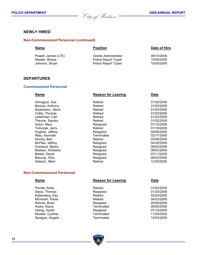**POLICE DEPARTMENT** 2009 ANNUAL REPORT

## **NEWLY HIRED**

### **Non-Commissioned Personnel (continued)**

| <b>Name</b>         | <b>Position</b>             | Date of Hire |  |
|---------------------|-----------------------------|--------------|--|
| Powell, James (LTE) | Grants Administrator        | 09/10/2009   |  |
| Nestler, Briana     | <b>Police Report Typist</b> | 10/05/2009   |  |
| Johnson, Bryan      | Police Report Typist        | 10/05/2009   |  |

## **DEPARTURES**

#### **Commissioned Personnel**

| <b>Name</b>        | <b>Reason for Leaving</b> | <b>Date</b> |
|--------------------|---------------------------|-------------|
| Armagost, Sue      | Retired                   | 01/02/2009  |
| Barone, Anthony    | Retired                   | 01/02/2009  |
| Klubertanz, Jilene | Retired                   | 01/02/2009  |
| Colby, Thomas      | Retired                   | 01/02/2009  |
| Leiterman, Carl    | Retired                   | 01/02/2009  |
| Theune, Sandra     | Retired                   | 01/02/2009  |
| Acton, Mary        | Resigned                  | 01/12/2009  |
| Tomczak, Jerry     | Retired                   | 01/16/2009  |
| Hughes, Jeffrey    | Resigned                  | 02/06/2009  |
| Riley, Kenneth     | Terminated                | 02/17/2009  |
| Kinney, Bart       | Retired                   | 03/08/2009  |
| McPike, Jeffrey    | Resigned                  | 04/30/2009  |
| Overland, Becky    | Resigned                  | 06/02/2009  |
| Madsen, Kimberly   | Resigned                  | 06/03/2009  |
| Bielski, David     | Resigned                  | 07/11/2009  |
| Breunig, Rick      | Resigned                  | 08/22/2009  |
| Hetland, Mark      | Retired                   | 12/30/2009  |
|                    |                           |             |

## **Non-Commissioned Personnel**

| <b>Name</b>      | <b>Reason for Leaving</b> | <b>Date</b> |  |
|------------------|---------------------------|-------------|--|
| Perrett, Anita   | Retired                   | 01/02/2009  |  |
| Sacia, Thomas    | Resigned                  | 01/20/2009  |  |
| Kaltenberg, Kay  | Retired                   | 02/24/2009  |  |
| McIntosh, Paula  | Retired                   | 04/02/2009  |  |
| Kehres, Brian    | Resigned                  | 05/04/2009  |  |
| Arpke, Diana     | Terminated                | 06/02/2009  |  |
| Heling, Sarah    | Resigned                  | 07/16/2009  |  |
| Mueller, Cynthia | Terminated                | 11/30/2009  |  |
| Sprague, Angela  | Terminated                | 12/04/2009  |  |
|                  |                           |             |  |

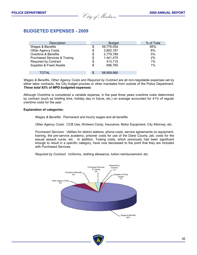**POLICE DEPARTMENT 2009 ANNUAL REPORT** City of Madison **POLICE DEPARTMENT <sup>2009</sup> ANNUAL REPORT** City of Madison

# **BUDGETED EXPENSES - 2009**

| Description                            | <b>Budget</b>    | % of Total |
|----------------------------------------|------------------|------------|
| Wages & Benefits                       | \$<br>49,776,054 | 85%        |
| <b>Other Agency Costs</b>              | \$<br>3,802,187  | 6%         |
| Overtime & Benefits                    | \$<br>2,779,789  | 5%         |
| <b>Purchased Services &amp; Towing</b> | \$<br>1,441,475  | 2%         |
| <b>Required by Contract</b>            | \$<br>413,715    | 1%         |
| Supplies & Fixed Assets                | \$<br>696.760    | 1%         |
|                                        |                  |            |
| TOTAL                                  | \$<br>58,909,980 |            |

*Wages & Benefits*, *Other Agency Costs* and *Required by Contract* are all non-negotiable expenses set by either labor contracts, the City budget process or other mandates from outside of the Police Department. *These total 92% of MPD budgeted expenses.*

Although Overtime is considered a variable expense, in the past three years overtime costs determined by contract (such as briefing time, holiday day in future, etc.) on average accounted for 41% of regular overtime costs for the year.

#### **Explanation of categories:**

*Wages & Benefits*: Permanent and hourly wages and all benefits

*Other Agency Costs*: CCB Use, Workers Comp, Insurance, Motor Equipment, City Attorney, etc.

*Purchased Services*: Utilities for district stations, phone costs, service agreements on equipment, training, the pre-service academy, prisoner costs for use of the Dane County Jail, costs for the sexual assault nurse, etc. In addition, Towing costs, which previously had been significant enough to result in a specific category, have now decreased to the point that they are included with Purchased Services.

*Required by Contract*: Uniforms, clothing allowance, tuition reimbursement, etc.